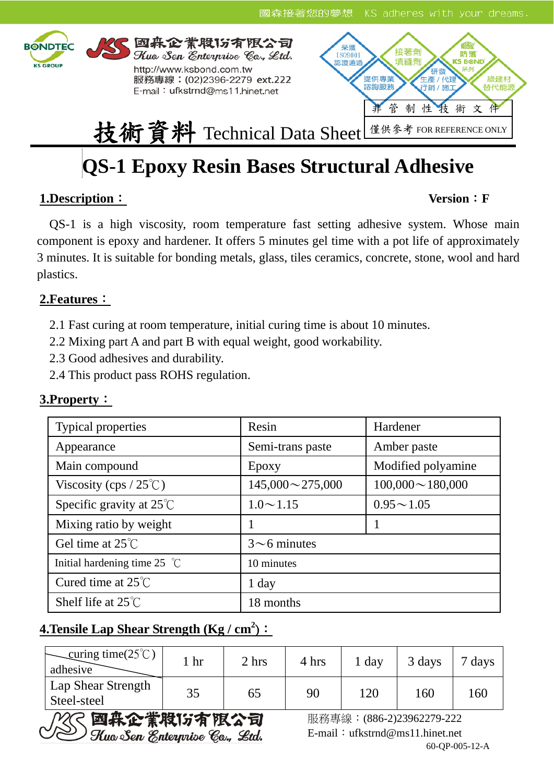

# **QS-1 Epoxy Resin Bases Structural Adhesive**

# **1.Description**: **Version**:**F**

 QS-1 is a high viscosity, room temperature fast setting adhesive system. Whose main component is epoxy and hardener. It offers 5 minutes gel time with a pot life of approximately 3 minutes. It is suitable for bonding metals, glass, tiles ceramics, concrete, stone, wool and hard plastics.

# **2.Features**:

2.1 Fast curing at room temperature, initial curing time is about 10 minutes.

2.2 Mixing part A and part B with equal weight, good workability.

2.3 Good adhesives and durability.

2.4 This product pass ROHS regulation.

| <b>Typical properties</b>              | Resin                  | Hardener               |  |  |  |
|----------------------------------------|------------------------|------------------------|--|--|--|
| Appearance                             | Semi-trans paste       | Amber paste            |  |  |  |
| Main compound                          | Epoxy                  | Modified polyamine     |  |  |  |
| Viscosity (cps / $25^{\circ}$ C)       | $145,000 \sim 275,000$ | $100,000 \sim 180,000$ |  |  |  |
| Specific gravity at $25^{\circ}$ C     | $1.0 \sim 1.15$        | $0.95 \sim 1.05$       |  |  |  |
| Mixing ratio by weight                 |                        |                        |  |  |  |
| Gel time at $25^{\circ}$ C             | $3 \sim 6$ minutes     |                        |  |  |  |
| Initial hardening time 25 $^{\circ}$ C | 10 minutes             |                        |  |  |  |
| Cured time at $25^{\circ}$ C           | $1$ day                |                        |  |  |  |
| Shelf life at $25^{\circ}$ C           | 18 months              |                        |  |  |  |

# **3.Property**:

# **4. Tensile Lap Shear Strength (Kg / cm<sup>2</sup>):**

| $\text{Curing time}(25^{\circ}\text{C})$<br>adhesive | hr | 2 hrs | 4 hrs | 1 day | 3 days | $7 \text{ days}$ |
|------------------------------------------------------|----|-------|-------|-------|--------|------------------|
| Lap Shear Strength<br>Steel-steel                    | 35 | 65    | 90    | 120   | 160    | 16(              |



 服務專線:(886-2)23962279-222 60-QP-005-12-A